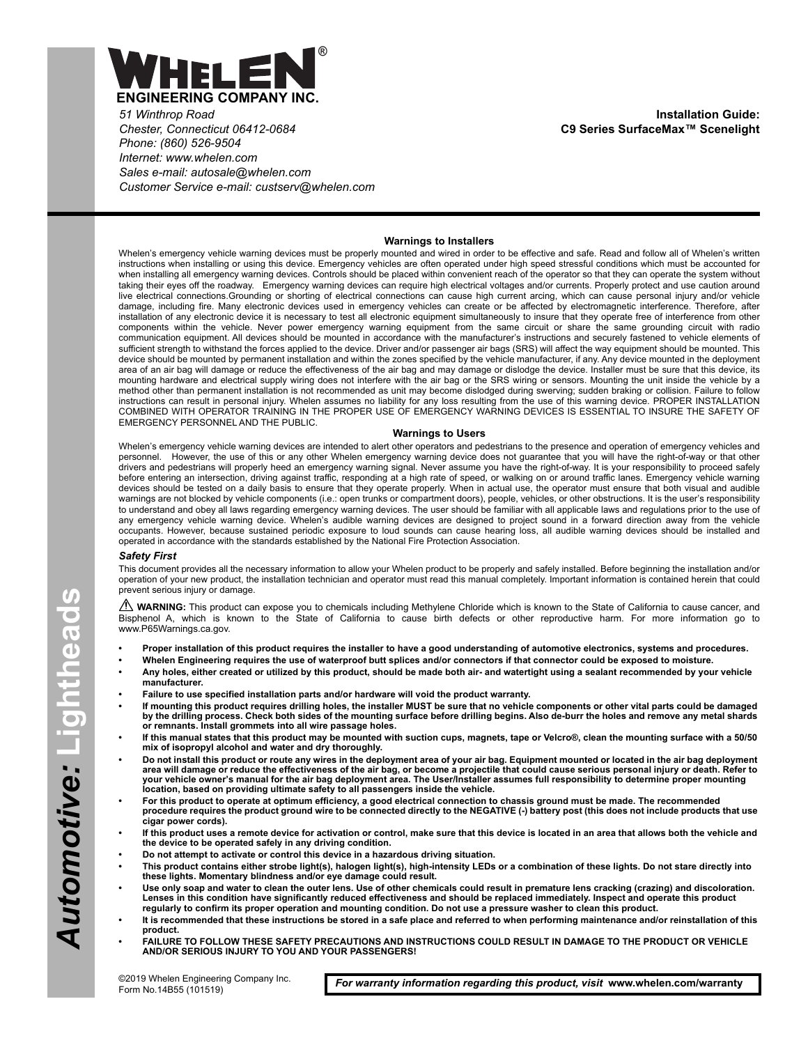

*51 Winthrop Road Chester, Connecticut 06412-0684 Phone: (860) 526-9504 Internet: www.whelen.com Sales e-mail: autosale@whelen.com Customer Service e-mail: custserv@whelen.com*

**Installation Guide: C9 Series SurfaceMax™ Scenelight**

### **Warnings to Installers**

Whelen's emergency vehicle warning devices must be properly mounted and wired in order to be effective and safe. Read and follow all of Whelen's written instructions when installing or using this device. Emergency vehicles are often operated under high speed stressful conditions which must be accounted for when installing all emergency warning devices. Controls should be placed within convenient reach of the operator so that they can operate the system without taking their eyes off the roadway. Emergency warning devices can require high electrical voltages and/or currents. Properly protect and use caution around live electrical connections.Grounding or shorting of electrical connections can cause high current arcing, which can cause personal injury and/or vehicle damage, including fire. Many electronic devices used in emergency vehicles can create or be affected by electromagnetic interference. Therefore, after installation of any electronic device it is necessary to test all electronic equipment simultaneously to insure that they operate free of interference from other components within the vehicle. Never power emergency warning equipment from the same circuit or share the same grounding circuit with radio communication equipment. All devices should be mounted in accordance with the manufacturer's instructions and securely fastened to vehicle elements of sufficient strength to withstand the forces applied to the device. Driver and/or passenger air bags (SRS) will affect the way equipment should be mounted. This device should be mounted by permanent installation and within the zones specified by the vehicle manufacturer, if any. Any device mounted in the deployment area of an air bag will damage or reduce the effectiveness of the air bag and may damage or dislodge the device. Installer must be sure that this device, its mounting hardware and electrical supply wiring does not interfere with the air bag or the SRS wiring or sensors. Mounting the unit inside the vehicle by a method other than permanent installation is not recommended as unit may become dislodged during swerving; sudden braking or collision. Failure to follow instructions can result in personal injury. Whelen assumes no liability for any loss resulting from the use of this warning device. PROPER INSTALLATION COMBINED WITH OPERATOR TRAINING IN THE PROPER USE OF EMERGENCY WARNING DEVICES IS ESSENTIAL TO INSURE THE SAFETY OF EMERGENCY PERSONNEL AND THE PUBLIC.

#### **Warnings to Users**

Whelen's emergency vehicle warning devices are intended to alert other operators and pedestrians to the presence and operation of emergency vehicles and personnel. However, the use of this or any other Whelen emergency warning device does not guarantee that you will have the right-of-way or that other drivers and pedestrians will properly heed an emergency warning signal. Never assume you have the right-of-way. It is your responsibility to proceed safely before entering an intersection, driving against traffic, responding at a high rate of speed, or walking on or around traffic lanes. Emergency vehicle warning devices should be tested on a daily basis to ensure that they operate properly. When in actual use, the operator must ensure that both visual and audible warnings are not blocked by vehicle components (i.e.: open trunks or compartment doors), people, vehicles, or other obstructions. It is the user's responsibility to understand and obey all laws regarding emergency warning devices. The user should be familiar with all applicable laws and regulations prior to the use of<br>any emergency vehicle warning device. Whelen's audible warning d occupants. However, because sustained periodic exposure to loud sounds can cause hearing loss, all audible warning devices should be installed and operated in accordance with the standards established by the National Fire Protection Association.

#### *Safety First*

This document provides all the necessary information to allow your Whelen product to be properly and safely installed. Before beginning the installation and/or operation of your new product, the installation technician and operator must read this manual completely. Important information is contained herein that could prevent serious injury or damage.

WARNING: This product can expose you to chemicals including Methylene Chloride which is known to the State of California to cause cancer, and Bisphenol A, which is known to the State of California to cause birth defects or other reproductive harm. For more information go to www.P65Warnings.ca.gov.

- **Proper installation of this product requires the installer to have a good understanding of automotive electronics, systems and procedures.**
- **Whelen Engineering requires the use of waterproof butt splices and/or connectors if that connector could be exposed to moisture.**
	- **Any holes, either created or utilized by this product, should be made both air- and watertight using a sealant recommended by your vehicle manufacturer.**
- **Failure to use specified installation parts and/or hardware will void the product warranty.**
- **If mounting this product requires drilling holes, the installer MUST be sure that no vehicle components or other vital parts could be damaged by the drilling process. Check both sides of the mounting surface before drilling begins. Also de-burr the holes and remove any metal shards or remnants. Install grommets into all wire passage holes.**
- **If this manual states that this product may be mounted with suction cups, magnets, tape or Velcro®, clean the mounting surface with a 50/50 mix of isopropyl alcohol and water and dry thoroughly.**
- **Do not install this product or route any wires in the deployment area of your air bag. Equipment mounted or located in the air bag deployment area will damage or reduce the effectiveness of the air bag, or become a projectile that could cause serious personal injury or death. Refer to your vehicle owner's manual for the air bag deployment area. The User/Installer assumes full responsibility to determine proper mounting location, based on providing ultimate safety to all passengers inside the vehicle.**
- **For this product to operate at optimum efficiency, a good electrical connection to chassis ground must be made. The recommended procedure requires the product ground wire to be connected directly to the NEGATIVE (-) battery post (this does not include products that use cigar power cords).**
- **If this product uses a remote device for activation or control, make sure that this device is located in an area that allows both the vehicle and the device to be operated safely in any driving condition.**
- **Do not attempt to activate or control this device in a hazardous driving situation.**
- **This product contains either strobe light(s), halogen light(s), high-intensity LEDs or a combination of these lights. Do not stare directly into these lights. Momentary blindness and/or eye damage could result.**
- **Use only soap and water to clean the outer lens. Use of other chemicals could result in premature lens cracking (crazing) and discoloration. Lenses in this condition have significantly reduced effectiveness and should be replaced immediately. Inspect and operate this product regularly to confirm its proper operation and mounting condition. Do not use a pressure washer to clean this product.**
- **It is recommended that these instructions be stored in a safe place and referred to when performing maintenance and/or reinstallation of this product.**
- **FAILURE TO FOLLOW THESE SAFETY PRECAUTIONS AND INSTRUCTIONS COULD RESULT IN DAMAGE TO THE PRODUCT OR VEHICLE AND/OR SERIOUS INJURY TO YOU AND YOUR PASSENGERS!**

*For warranty information regarding this product, visit* **www.whelen.com/warranty**